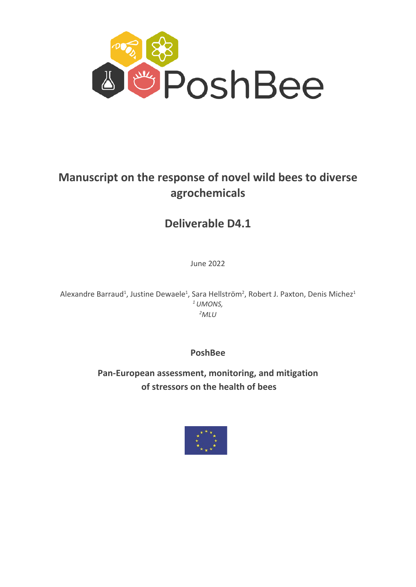

# **Manuscript on the response of novel wild bees to diverse agrochemicals**

# **Deliverable D4.1**

June 2022

Alexandre Barraud<sup>1</sup>, Justine Dewaele<sup>1</sup>, Sara Hellström<sup>2</sup>, Robert J. Paxton, Denis Michez<sup>1</sup> *1 UMONS, 2 MLU*

**PoshBee**

**Pan-European assessment, monitoring, and mitigation of stressors on the health of bees**

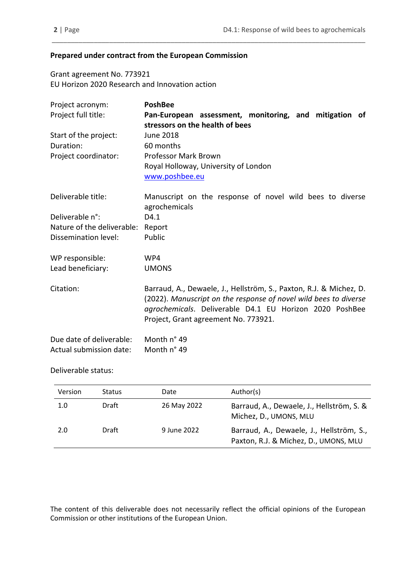### **Prepared under contract from the European Commission**

Grant agreement No. 773921 EU Horizon 2020 Research and Innovation action

| Project acronym:           | <b>PoshBee</b>                                                                                                                                                                                                                            |
|----------------------------|-------------------------------------------------------------------------------------------------------------------------------------------------------------------------------------------------------------------------------------------|
| Project full title:        | Pan-European assessment, monitoring, and mitigation of                                                                                                                                                                                    |
|                            | stressors on the health of bees                                                                                                                                                                                                           |
| Start of the project:      | June 2018                                                                                                                                                                                                                                 |
| Duration:                  | 60 months                                                                                                                                                                                                                                 |
| Project coordinator:       | <b>Professor Mark Brown</b>                                                                                                                                                                                                               |
|                            | Royal Holloway, University of London                                                                                                                                                                                                      |
|                            | www.poshbee.eu                                                                                                                                                                                                                            |
| Deliverable title:         | Manuscript on the response of novel wild bees to diverse                                                                                                                                                                                  |
| Deliverable n°:            | agrochemicals<br>D4.1                                                                                                                                                                                                                     |
| Nature of the deliverable: |                                                                                                                                                                                                                                           |
| Dissemination level:       | Report<br>Public                                                                                                                                                                                                                          |
|                            |                                                                                                                                                                                                                                           |
| WP responsible:            | WP4                                                                                                                                                                                                                                       |
| Lead beneficiary:          | <b>UMONS</b>                                                                                                                                                                                                                              |
| Citation:                  | Barraud, A., Dewaele, J., Hellström, S., Paxton, R.J. & Michez, D.<br>(2022). Manuscript on the response of novel wild bees to diverse<br>agrochemicals. Deliverable D4.1 EU Horizon 2020 PoshBee<br>Project, Grant agreement No. 773921. |
| Due date of deliverable:   | Month n° 49                                                                                                                                                                                                                               |
| Actual submission date:    | Month n° 49                                                                                                                                                                                                                               |

\_\_\_\_\_\_\_\_\_\_\_\_\_\_\_\_\_\_\_\_\_\_\_\_\_\_\_\_\_\_\_\_\_\_\_\_\_\_\_\_\_\_\_\_\_\_\_\_\_\_\_\_\_\_\_\_\_\_\_\_\_\_\_\_\_\_\_\_\_\_\_\_\_\_\_\_\_\_\_\_\_\_

## Deliverable status:

| Version | <b>Status</b> | Date        | Author(s)                                                                         |
|---------|---------------|-------------|-----------------------------------------------------------------------------------|
| 1.0     | Draft         | 26 May 2022 | Barraud, A., Dewaele, J., Hellström, S. &<br>Michez, D., UMONS, MLU               |
| 2.0     | Draft         | 9 June 2022 | Barraud, A., Dewaele, J., Hellström, S.,<br>Paxton, R.J. & Michez, D., UMONS, MLU |

The content of this deliverable does not necessarily reflect the official opinions of the European Commission or other institutions of the European Union.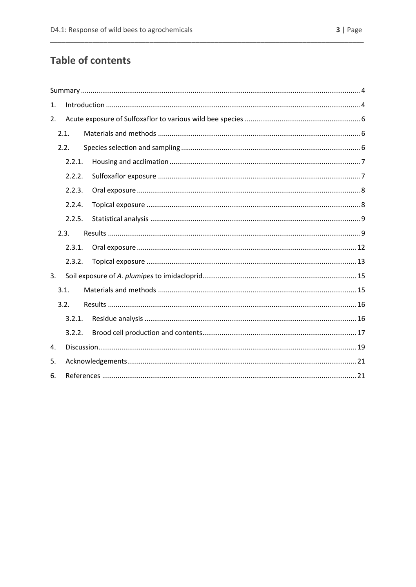# **Table of contents**

| 1. |        |  |
|----|--------|--|
| 2. |        |  |
|    | 2.1.   |  |
|    | 2.2.   |  |
|    | 2.2.1. |  |
|    | 2.2.2. |  |
|    | 2.2.3. |  |
|    | 2.2.4. |  |
|    | 2.2.5. |  |
|    | 2.3.   |  |
|    | 2.3.1. |  |
|    | 2.3.2. |  |
| 3. |        |  |
|    | 3.1.   |  |
|    | 3.2.   |  |
|    | 3.2.1. |  |
|    | 3.2.2. |  |
| 4. |        |  |
| 5. |        |  |
| 6. |        |  |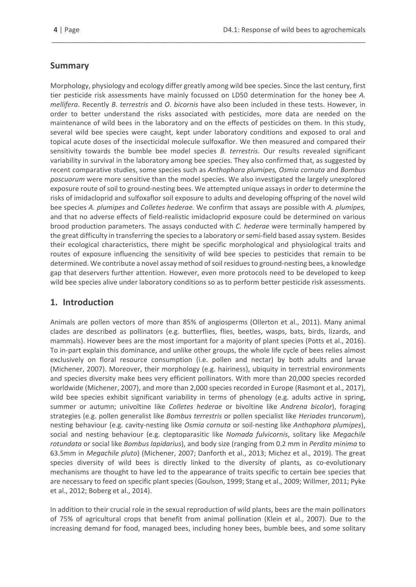# <span id="page-3-0"></span>**Summary**

Morphology, physiology and ecology differ greatly among wild bee species. Since the last century, first tier pesticide risk assessments have mainly focussed on LD50 determination for the honey bee *A. mellifera*. Recently *B. terrestris* and *O. bicornis* have also been included in these tests. However, in order to better understand the risks associated with pesticides, more data are needed on the maintenance of wild bees in the laboratory and on the effects of pesticides on them. In this study, several wild bee species were caught, kept under laboratory conditions and exposed to oral and topical acute doses of the insecticidal molecule sulfoxaflor. We then measured and compared their sensitivity towards the bumble bee model species *B. terrestris*. Our results revealed significant variability in survival in the laboratory among bee species. They also confirmed that, as suggested by recent comparative studies, some species such as *Anthophora plumipes, Osmia cornuta* and *Bombus pascuorum* were more sensitive than the model species. We also investigated the largely unexplored exposure route of soil to ground-nesting bees. We attempted unique assays in order to determine the risks of imidacloprid and sulfoxaflor soil exposure to adults and developing offspring of the novel wild bee species *A. plumipes* and *Colletes hederae.* We confirm that assays are possible with *A. plumipes,*  and that no adverse effects of field-realistic imidacloprid exposure could be determined on various brood production parameters. The assays conducted with *C. hederae* were terminally hampered by the great difficulty in transferring the species to a laboratory or semi-field based assay system. Besides their ecological characteristics, there might be specific morphological and physiological traits and routes of exposure influencing the sensitivity of wild bee species to pesticides that remain to be determined. We contribute a novel assay method of soil residues to ground-nesting bees, a knowledge gap that deservers further attention. However, even more protocols need to be developed to keep wild bee species alive under laboratory conditions so as to perform better pesticide risk assessments.

\_\_\_\_\_\_\_\_\_\_\_\_\_\_\_\_\_\_\_\_\_\_\_\_\_\_\_\_\_\_\_\_\_\_\_\_\_\_\_\_\_\_\_\_\_\_\_\_\_\_\_\_\_\_\_\_\_\_\_\_\_\_\_\_\_\_\_\_\_\_\_\_\_\_\_\_\_\_\_\_\_\_

# <span id="page-3-1"></span>**1. Introduction**

Animals are pollen vectors of more than 85% of angiosperms (Ollerton et al., 2011). Many animal clades are described as pollinators (e.g. butterflies, flies, beetles, wasps, bats, birds, lizards, and mammals). However bees are the most important for a majority of plant species (Potts et al., 2016). To in-part explain this dominance, and unlike other groups, the whole life cycle of bees relies almost exclusively on floral resource consumption (i.e. pollen and nectar) by both adults and larvae (Michener, 2007). Moreover, their morphology (e.g. hairiness), ubiquity in terrestrial environments and species diversity make bees very efficient pollinators. With more than 20,000 species recorded worldwide (Michener, 2007), and more than 2,000 species recorded in Europe (Rasmont et al., 2017), wild bee species exhibit significant variability in terms of phenology (e.g. adults active in spring, summer or autumn; univoltine like *Colletes hederae* or bivoltine like *Andrena bicolor*), foraging strategies (e.g. pollen generalist like *Bombus terrestris* or pollen specialist like *Heriades truncorum*), nesting behaviour (e.g. cavity-nesting like *Osmia cornuta* or soil-nesting like *Anthophora plumipes*), social and nesting behaviour (e.g. cleptoparasitic like *Nomada fulvicornis*, solitary like *Megachile rotundata* or social like *Bombus lapidarius*), and body size (ranging from 0.2 mm in *Perdita minima* to 63.5mm in *Megachile pluto*) (Michener, 2007; Danforth et al., 2013; Michez et al., 2019). The great species diversity of wild bees is directly linked to the diversity of plants, as co-evolutionary mechanisms are thought to have led to the appearance of traits specific to certain bee species that are necessary to feed on specific plant species (Goulson, 1999; Stang et al., 2009; Willmer, 2011; Pyke et al., 2012; Boberg et al., 2014).

In addition to their crucial role in the sexual reproduction of wild plants, bees are the main pollinators of 75% of agricultural crops that benefit from animal pollination (Klein et al., 2007). Due to the increasing demand for food, managed bees, including honey bees, bumble bees, and some solitary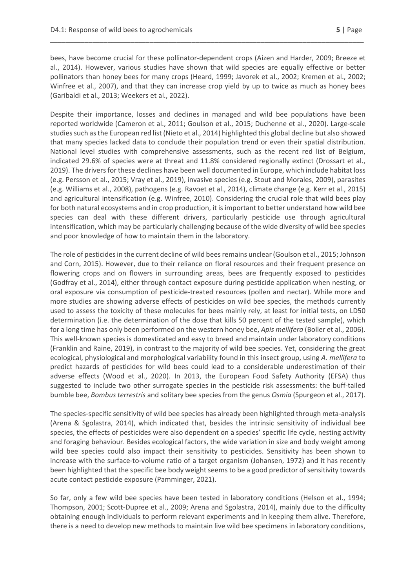bees, have become crucial for these pollinator-dependent crops (Aizen and Harder, 2009; Breeze et al., 2014). However, various studies have shown that wild species are equally effective or better pollinators than honey bees for many crops (Heard, 1999; Javorek et al., 2002; Kremen et al., 2002; Winfree et al., 2007), and that they can increase crop yield by up to twice as much as honey bees (Garibaldi et al., 2013; Weekers et al., 2022).

\_\_\_\_\_\_\_\_\_\_\_\_\_\_\_\_\_\_\_\_\_\_\_\_\_\_\_\_\_\_\_\_\_\_\_\_\_\_\_\_\_\_\_\_\_\_\_\_\_\_\_\_\_\_\_\_\_\_\_\_\_\_\_\_\_\_\_\_\_\_\_\_\_\_\_\_\_\_\_\_\_\_

Despite their importance, losses and declines in managed and wild bee populations have been reported worldwide (Cameron et al., 2011; Goulson et al., 2015; Duchenne et al., 2020). Large-scale studies such as the European red list (Nieto et al., 2014) highlighted this global decline but also showed that many species lacked data to conclude their population trend or even their spatial distribution. National level studies with comprehensive assessments, such as the recent red list of Belgium, indicated 29.6% of species were at threat and 11.8% considered regionally extinct (Drossart et al., 2019). The drivers for these declines have been well documented in Europe, which include habitat loss (e.g. Persson et al., 2015; Vray et al., 2019), invasive species (e.g. Stout and Morales, 2009), parasites (e.g. Williams et al., 2008), pathogens (e.g. Ravoet et al., 2014), climate change (e.g. Kerr et al., 2015) and agricultural intensification (e.g. Winfree, 2010). Considering the crucial role that wild bees play for both natural ecosystems and in crop production, it is important to better understand how wild bee species can deal with these different drivers, particularly pesticide use through agricultural intensification, which may be particularly challenging because of the wide diversity of wild bee species and poor knowledge of how to maintain them in the laboratory.

The role of pesticides in the current decline of wild bees remains unclear (Goulson et al., 2015; Johnson and Corn, 2015). However, due to their reliance on floral resources and their frequent presence on flowering crops and on flowers in surrounding areas, bees are frequently exposed to pesticides (Godfray et al., 2014), either through contact exposure during pesticide application when nesting, or oral exposure via consumption of pesticide-treated resources (pollen and nectar). While more and more studies are showing adverse effects of pesticides on wild bee species, the methods currently used to assess the toxicity of these molecules for bees mainly rely, at least for initial tests, on LD50 determination (i.e. the determination of the dose that kills 50 percent of the tested sample), which for a long time has only been performed on the western honey bee, *Apis mellifera* (Boller et al., 2006). This well-known species is domesticated and easy to breed and maintain under laboratory conditions (Franklin and Raine, 2019), in contrast to the majority of wild bee species. Yet, considering the great ecological, physiological and morphological variability found in this insect group, using *A. mellifera* to predict hazards of pesticides for wild bees could lead to a considerable underestimation of their adverse effects (Wood et al., 2020). In 2013, the European Food Safety Authority (EFSA) thus suggested to include two other surrogate species in the pesticide risk assessments: the buff-tailed bumble bee, *Bombus terrestris* and solitary bee species from the genus *Osmia* (Spurgeon et al., 2017).

The species-specific sensitivity of wild bee species has already been highlighted through meta-analysis (Arena & Sgolastra, 2014), which indicated that, besides the intrinsic sensitivity of individual bee species, the effects of pesticides were also dependent on a species' specific life cycle, nesting activity and foraging behaviour. Besides ecological factors, the wide variation in size and body weight among wild bee species could also impact their sensitivity to pesticides. Sensitivity has been shown to increase with the surface-to-volume ratio of a target organism (Johansen, 1972) and it has recently been highlighted that the specific bee body weight seems to be a good predictor of sensitivity towards acute contact pesticide exposure (Pamminger, 2021).

So far, only a few wild bee species have been tested in laboratory conditions (Helson et al., 1994; Thompson, 2001; Scott-Dupree et al., 2009; Arena and Sgolastra, 2014), mainly due to the difficulty obtaining enough individuals to perform relevant experiments and in keeping them alive. Therefore, there is a need to develop new methods to maintain live wild bee specimens in laboratory conditions,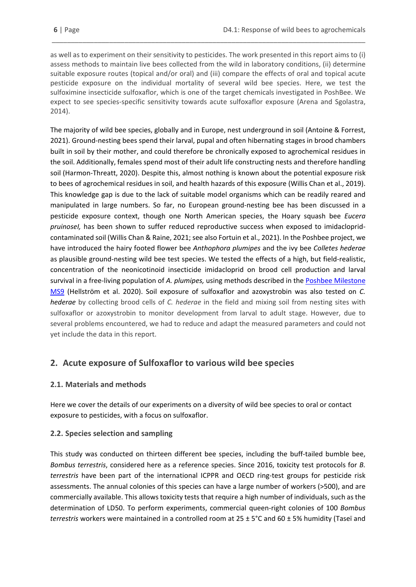as well as to experiment on their sensitivity to pesticides. The work presented in this report aims to (i) assess methods to maintain live bees collected from the wild in laboratory conditions, (ii) determine suitable exposure routes (topical and/or oral) and (iii) compare the effects of oral and topical acute pesticide exposure on the individual mortality of several wild bee species. Here, we test the sulfoximine insecticide sulfoxaflor, which is one of the target chemicals investigated in PoshBee. We expect to see species-specific sensitivity towards acute sulfoxaflor exposure (Arena and Sgolastra, 2014).

\_\_\_\_\_\_\_\_\_\_\_\_\_\_\_\_\_\_\_\_\_\_\_\_\_\_\_\_\_\_\_\_\_\_\_\_\_\_\_\_\_\_\_\_\_\_\_\_\_\_\_\_\_\_\_\_\_\_\_\_\_\_\_\_\_\_\_\_\_\_\_\_\_\_\_\_\_\_\_\_\_\_

The majority of wild bee species, globally and in Europe, nest underground in soil (Antoine & Forrest, 2021). Ground-nesting bees spend their larval, pupal and often hibernating stages in brood chambers built in soil by their mother, and could therefore be chronically exposed to agrochemical residues in the soil. Additionally, females spend most of their adult life constructing nests and therefore handling soil (Harmon-Threatt, 2020). Despite this, almost nothing is known about the potential exposure risk to bees of agrochemical residues in soil, and health hazards of this exposure (Willis Chan et al., 2019). This knowledge gap is due to the lack of suitable model organisms which can be readily reared and manipulated in large numbers. So far, no European ground-nesting bee has been discussed in a pesticide exposure context, though one North American species, the Hoary squash bee *Eucera pruinoseI,* has been shown to suffer reduced reproductive success when exposed to imidaclopridcontaminated soil (Willis Chan & Raine, 2021; see also Fortuin et al., 2021). In the Poshbee project, we have introduced the hairy footed flower bee *Anthophora plumipes* and the ivy bee *Colletes hederae* as plausible ground-nesting wild bee test species. We tested the effects of a high, but field-realistic, concentration of the neonicotinoid insecticide imidacloprid on brood cell production and larval survival in a free-living population of *A. plumipes,* using methods described in th[e Poshbee Milestone](https://poshbee.eu/documents/3/)  [MS9](https://poshbee.eu/documents/3/) (Hellström et al. 2020). Soil exposure of sulfoxaflor and azoxystrobin was also tested on *C. hederae* by collecting brood cells of *C. hederae* in the field and mixing soil from nesting sites with sulfoxaflor or azoxystrobin to monitor development from larval to adult stage. However, due to several problems encountered, we had to reduce and adapt the measured parameters and could not yet include the data in this report.

# <span id="page-5-0"></span>**2. Acute exposure of Sulfoxaflor to various wild bee species**

# <span id="page-5-1"></span>**2.1. Materials and methods**

Here we cover the details of our experiments on a diversity of wild bee species to oral or contact exposure to pesticides, with a focus on sulfoxaflor.

# <span id="page-5-2"></span>**2.2. Species selection and sampling**

This study was conducted on thirteen different bee species, including the buff-tailed bumble bee, *Bombus terrestris*, considered here as a reference species. Since 2016, toxicity test protocols for *B. terrestris* have been part of the international ICPPR and OECD ring-test groups for pesticide risk assessments. The annual colonies of this species can have a large number of workers (>500), and are commercially available. This allows toxicity tests that require a high number of individuals, such as the determination of LD50. To perform experiments, commercial queen-right colonies of 100 *Bombus terrestris* workers were maintained in a controlled room at 25 ± 5°C and 60 ± 5% humidity (Taseï and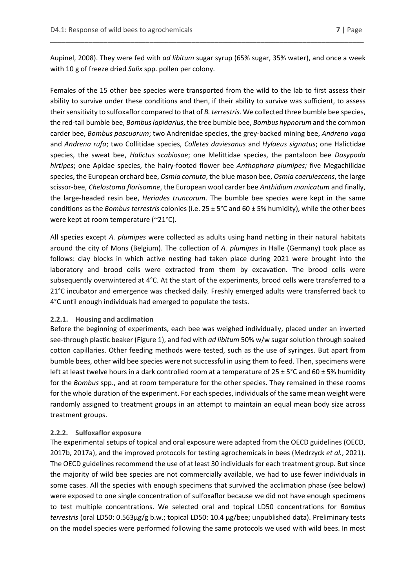Aupinel, 2008). They were fed with *ad libitum* sugar syrup (65% sugar, 35% water), and once a week with 10 g of freeze dried *Salix* spp. pollen per colony.

\_\_\_\_\_\_\_\_\_\_\_\_\_\_\_\_\_\_\_\_\_\_\_\_\_\_\_\_\_\_\_\_\_\_\_\_\_\_\_\_\_\_\_\_\_\_\_\_\_\_\_\_\_\_\_\_\_\_\_\_\_\_\_\_\_\_\_\_\_\_\_\_\_\_\_\_\_\_\_\_\_\_

Females of the 15 other bee species were transported from the wild to the lab to first assess their ability to survive under these conditions and then, if their ability to survive was sufficient, to assess their sensitivity to sulfoxaflor compared to that of *B. terrestris*. We collected three bumble bee species, the red-tail bumble bee, *Bombus lapidarius*, the tree bumble bee, *Bombus hypnorum* and the common carder bee, *Bombus pascuorum*; two Andrenidae species, the grey-backed mining bee, *Andrena vaga* and *Andrena rufa*; two Collitidae species, *Colletes daviesanus* and *Hylaeus signatus*; one Halictidae species, the sweat bee, *Halictus scabiosae*; one Melittidae species, the pantaloon bee *Dasypoda hirtipes*; one Apidae species, the hairy-footed flower bee *Anthophora plumipes;* five Megachilidae species, the European orchard bee, *Osmia cornuta*, the blue mason bee, *Osmia caerulescens*, the large scissor-bee, *Chelostoma florisomne*, the European wool carder bee *Anthidium manicatum* and finally, the large-headed resin bee, *Heriades truncorum*. The bumble bee species were kept in the same conditions as the *Bombus terrestris* colonies (i.e. 25 ± 5°C and 60 ± 5% humidity), while the other bees were kept at room temperature (~21°C).

All species except *A. plumipes* were collected as adults using hand netting in their natural habitats around the city of Mons (Belgium). The collection of *A. plumipes* in Halle (Germany) took place as follows: clay blocks in which active nesting had taken place during 2021 were brought into the laboratory and brood cells were extracted from them by excavation. The brood cells were subsequently overwintered at 4°C. At the start of the experiments, brood cells were transferred to a 21°C incubator and emergence was checked daily. Freshly emerged adults were transferred back to 4°C until enough individuals had emerged to populate the tests.

#### <span id="page-6-0"></span>**2.2.1. Housing and acclimation**

Before the beginning of experiments, each bee was weighed individually, placed under an inverted see-through plastic beaker (Figure 1), and fed with *ad libitum* 50% w/w sugar solution through soaked cotton capillaries. Other feeding methods were tested, such as the use of syringes. But apart from bumble bees, other wild bee species were not successful in using them to feed. Then, specimens were left at least twelve hours in a dark controlled room at a temperature of  $25 \pm 5^{\circ}$ C and 60  $\pm$  5% humidity for the *Bombus* spp., and at room temperature for the other species. They remained in these rooms for the whole duration of the experiment. For each species, individuals of the same mean weight were randomly assigned to treatment groups in an attempt to maintain an equal mean body size across treatment groups.

#### <span id="page-6-1"></span>**2.2.2. Sulfoxaflor exposure**

The experimental setups of topical and oral exposure were adapted from the OECD guidelines (OECD, 2017b, 2017a), and the improved protocols for testing agrochemicals in bees (Medrzyck *et al.*, 2021). The OECD guidelines recommend the use of at least 30 individuals for each treatment group. But since the majority of wild bee species are not commercially available, we had to use fewer individuals in some cases. All the species with enough specimens that survived the acclimation phase (see below) were exposed to one single concentration of sulfoxaflor because we did not have enough specimens to test multiple concentrations. We selected oral and topical LD50 concentrations for *Bombus terrestris* (oral LD50: 0.563μg/g b.w.; topical LD50: 10.4 μg/bee; unpublished data). Preliminary tests on the model species were performed following the same protocols we used with wild bees. In most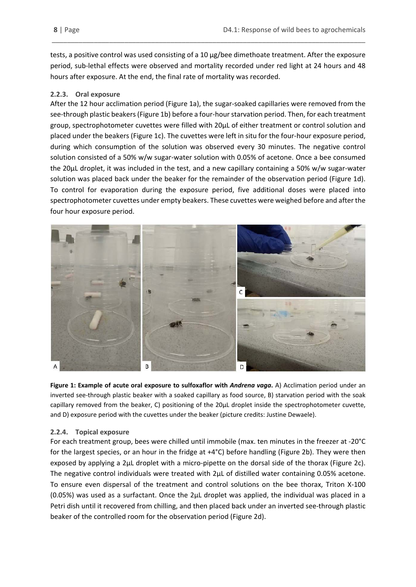tests, a positive control was used consisting of a 10 μg/bee dimethoate treatment. After the exposure period, sub-lethal effects were observed and mortality recorded under red light at 24 hours and 48 hours after exposure. At the end, the final rate of mortality was recorded.

\_\_\_\_\_\_\_\_\_\_\_\_\_\_\_\_\_\_\_\_\_\_\_\_\_\_\_\_\_\_\_\_\_\_\_\_\_\_\_\_\_\_\_\_\_\_\_\_\_\_\_\_\_\_\_\_\_\_\_\_\_\_\_\_\_\_\_\_\_\_\_\_\_\_\_\_\_\_\_\_\_\_

### <span id="page-7-0"></span>**2.2.3. Oral exposure**

After the 12 hour acclimation period (Figure 1a), the sugar-soaked capillaries were removed from the see-through plastic beakers(Figure 1b) before a four-hour starvation period. Then, for each treatment group, spectrophotometer cuvettes were filled with 20μL of either treatment or control solution and placed under the beakers (Figure 1c). The cuvettes were left in situ for the four-hour exposure period, during which consumption of the solution was observed every 30 minutes. The negative control solution consisted of a 50% w/w sugar-water solution with 0.05% of acetone. Once a bee consumed the 20μL droplet, it was included in the test, and a new capillary containing a 50% w/w sugar-water solution was placed back under the beaker for the remainder of the observation period (Figure 1d). To control for evaporation during the exposure period, five additional doses were placed into spectrophotometer cuvettes under empty beakers. These cuvettes were weighed before and after the four hour exposure period.



**Figure 1: Example of acute oral exposure to sulfoxaflor with** *Andrena vaga***.** A) Acclimation period under an inverted see-through plastic beaker with a soaked capillary as food source, B) starvation period with the soak capillary removed from the beaker, C) positioning of the 20μL droplet inside the spectrophotometer cuvette, and D) exposure period with the cuvettes under the beaker (picture credits: Justine Dewaele).

### <span id="page-7-1"></span>**2.2.4. Topical exposure**

For each treatment group, bees were chilled until immobile (max. ten minutes in the freezer at -20°C for the largest species, or an hour in the fridge at +4°C) before handling (Figure 2b). They were then exposed by applying a 2μL droplet with a micro-pipette on the dorsal side of the thorax (Figure 2c). The negative control individuals were treated with 2μL of distilled water containing 0.05% acetone. To ensure even dispersal of the treatment and control solutions on the bee thorax, Triton X-100 (0.05%) was used as a surfactant. Once the 2μL droplet was applied, the individual was placed in a Petri dish until it recovered from chilling, and then placed back under an inverted see-through plastic beaker of the controlled room for the observation period (Figure 2d).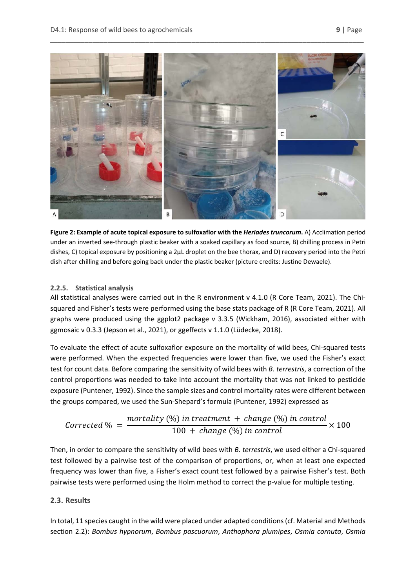

**Figure 2: Example of acute topical exposure to sulfoxaflor with the** *Heriades truncorum***.** A) Acclimation period under an inverted see-through plastic beaker with a soaked capillary as food source, B) chilling process in Petri dishes, C) topical exposure by positioning a 2μL droplet on the bee thorax, and D) recovery period into the Petri dish after chilling and before going back under the plastic beaker (picture credits: Justine Dewaele).

### <span id="page-8-0"></span>**2.2.5. Statistical analysis**

All statistical analyses were carried out in the R environment v 4.1.0 (R Core Team, 2021). The Chisquared and Fisher's tests were performed using the base stats package of R (R Core Team, 2021). All graphs were produced using the ggplot2 package v 3.3.5 (Wickham, 2016), associated either with ggmosaic v 0.3.3 (Jepson et al., 2021), or ggeffects v 1.1.0 (Lüdecke, 2018).

To evaluate the effect of acute sulfoxaflor exposure on the mortality of wild bees, Chi-squared tests were performed. When the expected frequencies were lower than five, we used the Fisher's exact test for count data. Before comparing the sensitivity of wild bees with *B. terrestris*, a correction of the control proportions was needed to take into account the mortality that was not linked to pesticide exposure (Puntener, 1992). Since the sample sizes and control mortality rates were different between the groups compared, we used the Sun-Shepard's formula (Puntener, 1992) expressed as

Corrected % = 
$$
\frac{mortality (%) in treatment + change (%) in control}{100 + change (%) in control} \times 100
$$

Then, in order to compare the sensitivity of wild bees with *B. terrestris*, we used either a Chi-squared test followed by a pairwise test of the comparison of proportions, or, when at least one expected frequency was lower than five, a Fisher's exact count test followed by a pairwise Fisher's test. Both pairwise tests were performed using the Holm method to correct the p-value for multiple testing.

### <span id="page-8-1"></span>**2.3. Results**

In total, 11 species caught in the wild were placed under adapted conditions (cf. Material and Methods section 2.2): *Bombus hypnorum*, *Bombus pascuorum*, *Anthophora plumipes*, *Osmia cornuta*, *Osmia*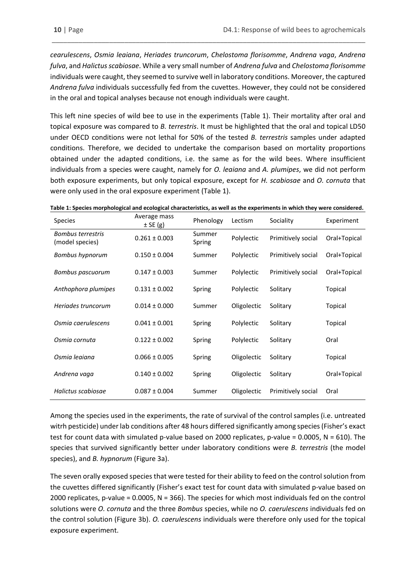*cearulescens*, *Osmia leaiana*, *Heriades truncorum*, *Chelostoma florisomme*, *Andrena vaga*, *Andrena fulva*, and *Halictus scabiosae*. While a very small number of *Andrena fulva* and *Chelostoma florisomme* individuals were caught, they seemed to survive well in laboratory conditions. Moreover, the captured *Andrena fulva* individuals successfully fed from the cuvettes. However, they could not be considered in the oral and topical analyses because not enough individuals were caught.

\_\_\_\_\_\_\_\_\_\_\_\_\_\_\_\_\_\_\_\_\_\_\_\_\_\_\_\_\_\_\_\_\_\_\_\_\_\_\_\_\_\_\_\_\_\_\_\_\_\_\_\_\_\_\_\_\_\_\_\_\_\_\_\_\_\_\_\_\_\_\_\_\_\_\_\_\_\_\_\_\_\_

This left nine species of wild bee to use in the experiments (Table 1). Their mortality after oral and topical exposure was compared to *B. terrestris*. It must be highlighted that the oral and topical LD50 under OECD conditions were not lethal for 50% of the tested *B. terrestris* samples under adapted conditions. Therefore, we decided to undertake the comparison based on mortality proportions obtained under the adapted conditions, i.e. the same as for the wild bees. Where insufficient individuals from a species were caught, namely for *O. leaiana* and *A. plumipes*, we did not perform both exposure experiments, but only topical exposure, except for *H. scabiosae* and *O. cornuta* that were only used in the oral exposure experiment (Table 1).

| Table 1: Species morphological and ecological characteristics, as well as the experiments in which they were considered. |
|--------------------------------------------------------------------------------------------------------------------------|
|--------------------------------------------------------------------------------------------------------------------------|

| Species                                     | Average mass<br>$±$ SE (g) | Phenology        | Lectism     | Sociality          | Experiment   |
|---------------------------------------------|----------------------------|------------------|-------------|--------------------|--------------|
| <b>Bombus terrestris</b><br>(model species) | $0.261 \pm 0.003$          | Summer<br>Spring | Polylectic  | Primitively social | Oral+Topical |
| Bombus hypnorum                             | $0.150 \pm 0.004$          | Summer           | Polylectic  | Primitively social | Oral+Topical |
| Bombus pascuorum                            | $0.147 \pm 0.003$          | Summer           | Polylectic  | Primitively social | Oral+Topical |
| Anthophora plumipes                         | $0.131 \pm 0.002$          | Spring           | Polylectic  | Solitary           | Topical      |
| Heriades truncorum                          | $0.014 \pm 0.000$          | Summer           | Oligolectic | Solitary           | Topical      |
| Osmia caerulescens                          | $0.041 \pm 0.001$          | Spring           | Polylectic  | Solitary           | Topical      |
| Osmia cornuta                               | $0.122 \pm 0.002$          | Spring           | Polylectic  | Solitary           | Oral         |
| Osmia legiana                               | $0.066 \pm 0.005$          | Spring           | Oligolectic | Solitary           | Topical      |
| Andrena vaga                                | $0.140 \pm 0.002$          | Spring           | Oligolectic | Solitary           | Oral+Topical |
| Halictus scabiosae                          | $0.087 \pm 0.004$          | Summer           | Oligolectic | Primitively social | Oral         |

Among the species used in the experiments, the rate of survival of the control samples (i.e. untreated witrh pesticide) under lab conditions after 48 hours differed significantly among species (Fisher's exact test for count data with simulated p-value based on 2000 replicates, p-value = 0.0005, N = 610). The species that survived significantly better under laboratory conditions were *B. terrestris* (the model species), and *B. hypnorum* (Figure 3a).

The seven orally exposed species that were tested for their ability to feed on the control solution from the cuvettes differed significantly (Fisher's exact test for count data with simulated p-value based on 2000 replicates, p-value = 0.0005, N = 366). The species for which most individuals fed on the control solutions were *O. cornuta* and the three *Bombus* species, while no *O. caerulescens* individuals fed on the control solution (Figure 3b). *O. caerulescens* individuals were therefore only used for the topical exposure experiment.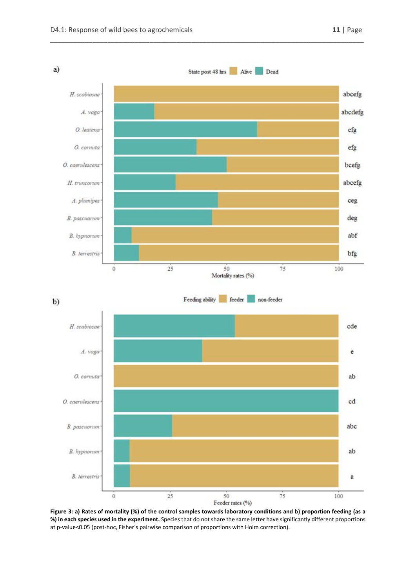

\_\_\_\_\_\_\_\_\_\_\_\_\_\_\_\_\_\_\_\_\_\_\_\_\_\_\_\_\_\_\_\_\_\_\_\_\_\_\_\_\_\_\_\_\_\_\_\_\_\_\_\_\_\_\_\_\_\_\_\_\_\_\_\_\_\_\_\_\_\_\_\_\_\_\_\_\_\_\_\_\_\_

**Figure 3: a) Rates of mortality (%) of the control samples towards laboratory conditions and b) proportion feeding (as a %) in each species used in the experiment.** Species that do not share the same letter have significantly different proportions at p-value<0.05 (post-hoc, Fisher's pairwise comparison of proportions with Holm correction).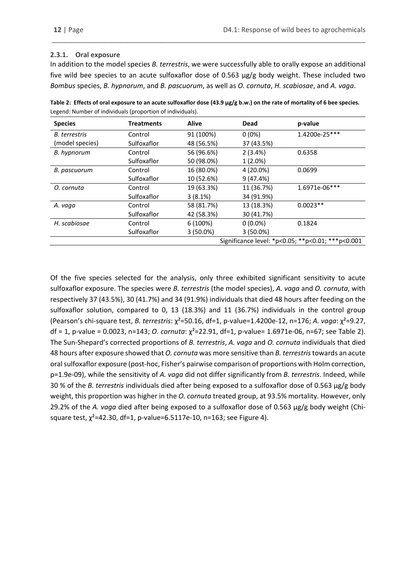#### <span id="page-11-0"></span>**2.3.1. Oral exposure**

In addition to the model species *B. terrestris*, we were successfully able to orally expose an additional five wild bee species to an acute sulfoxaflor dose of 0.563 μg/g body weight. These included two *Bombus* species, *B. hypnorum*, and *B. pascuorum*, as well as *O. cornuta*, *H. scabiosae*, and *A. vaga*.

\_\_\_\_\_\_\_\_\_\_\_\_\_\_\_\_\_\_\_\_\_\_\_\_\_\_\_\_\_\_\_\_\_\_\_\_\_\_\_\_\_\_\_\_\_\_\_\_\_\_\_\_\_\_\_\_\_\_\_\_\_\_\_\_\_\_\_\_\_\_\_\_\_\_\_\_\_\_\_\_\_\_

| Table 2: Effects of oral exposure to an acute sulfoxaflor dose $(43.9 \,\mu g/g b.w.)$ on the rate of mortality of 6 bee species. |
|-----------------------------------------------------------------------------------------------------------------------------------|
| Legend: Number of individuals (proportion of individuals).                                                                        |

| <b>Species</b>       | <b>Treatments</b> | <b>Alive</b> | Dead        | p-value                                           |
|----------------------|-------------------|--------------|-------------|---------------------------------------------------|
| <b>B.</b> terrestris | Control           | 91 (100%)    | $0(0\%)$    | 1.4200e-25***                                     |
| (model species)      | Sulfoxaflor       | 48 (56.5%)   | 37 (43.5%)  |                                                   |
| B. hypnorum          | Control           | 56 (96.6%)   | 2(3.4%)     | 0.6358                                            |
|                      | Sulfoxaflor       | 50 (98.0%)   | $1(2.0\%)$  |                                                   |
| B. pascuorum         | Control           | 16 (80.0%)   | 4 (20.0%)   | 0.0699                                            |
|                      | Sulfoxaflor       | 10 (52.6%)   | 9(47.4%)    |                                                   |
| O. cornuta           | Control           | 19 (63.3%)   | 11 (36.7%)  | 1.6971e-06***                                     |
|                      | Sulfoxaflor       | 3(8.1%)      | 34 (91.9%)  |                                                   |
| A. vaga              | Control           | 58 (81.7%)   | 13 (18.3%)  | $0.0023**$                                        |
|                      | Sulfoxaflor       | 42 (58.3%)   | 30 (41.7%)  |                                                   |
| H. scabiosae         | Control           | 6(100%)      | $0(0.0\%)$  | 0.1824                                            |
|                      | Sulfoxaflor       | $3(50.0\%)$  | $3(50.0\%)$ |                                                   |
|                      |                   |              |             | Significance level: *p<0.05; **p<0.01; ***p<0.001 |

Of the five species selected for the analysis, only three exhibited significant sensitivity to acute sulfoxaflor exposure. The species were *B. terrestris* (the model species), *A. vaga* and *O. cornuta*, with respectively 37 (43.5%), 30 (41.7%) and 34 (91.9%) individuals that died 48 hours after feeding on the sulfoxaflor solution, compared to 0, 13 (18.3%) and 11 (36.7%) individuals in the control group (Pearson's chi-square test, *B. terrestris*: χ²=50.16, df=1, p-value=1.4200e-12, n=176; *A. vaga*: χ²=9.27, df = 1, p-value = 0.0023, n=143; *O. cornuta*: χ²=22.91, df=1, p-value= 1.6971e-06, n=67; see Table 2). The Sun-Shepard's corrected proportions of *B. terrestris*, *A. vaga* and *O. cornuta* individuals that died 48 hours after exposure showed that *O. cornuta* was more sensitive than *B. terrestris*towards an acute oral sulfoxaflor exposure (post-hoc, Fisher's pairwise comparison of proportions with Holm correction, p=1.9e-09), while the sensitivity of *A. vaga* did not differ significantly from *B. terrestris*. Indeed, while 30 % of the *B. terrestris* individuals died after being exposed to a sulfoxaflor dose of 0.563 μg/g body weight, this proportion was higher in the *O. cornuta* treated group, at 93.5% mortality. However, only 29.2% of the *A. vaga* died after being exposed to a sulfoxaflor dose of 0.563 μg/g body weight (Chisquare test, χ²=42.30, df=1, p-value=6.5117e-10, n=163; see Figure 4).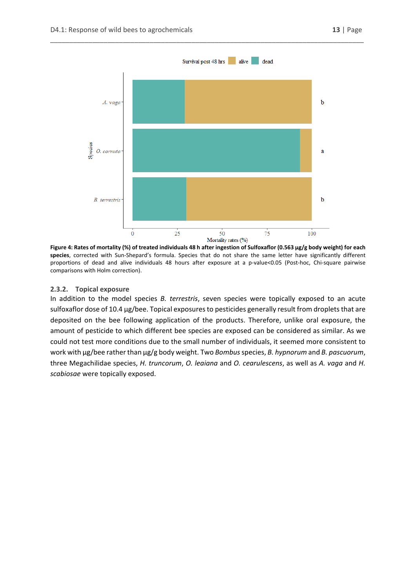

\_\_\_\_\_\_\_\_\_\_\_\_\_\_\_\_\_\_\_\_\_\_\_\_\_\_\_\_\_\_\_\_\_\_\_\_\_\_\_\_\_\_\_\_\_\_\_\_\_\_\_\_\_\_\_\_\_\_\_\_\_\_\_\_\_\_\_\_\_\_\_\_\_\_\_\_\_\_\_\_\_\_

**Figure 4: Rates of mortality (%) of treated individuals 48 h after ingestion of Sulfoxaflor (0.563 μg/g body weight) for each species**, corrected with Sun-Shepard's formula. Species that do not share the same letter have significantly different proportions of dead and alive individuals 48 hours after exposure at a p-value<0.05 (Post-hoc, Chi-square pairwise comparisons with Holm correction).

#### <span id="page-12-0"></span>**2.3.2. Topical exposure**

In addition to the model species *B. terrestris*, seven species were topically exposed to an acute sulfoxaflor dose of 10.4 μg/bee. Topical exposures to pesticides generally result from droplets that are deposited on the bee following application of the products. Therefore, unlike oral exposure, the amount of pesticide to which different bee species are exposed can be considered as similar. As we could not test more conditions due to the small number of individuals, it seemed more consistent to work with µg/bee rather than µg/g body weight. Two *Bombus*species, *B. hypnorum* and *B. pascuorum*, three Megachilidae species, *H. truncorum*, *O. leaiana* and *O. cearulescens*, as well as *A. vaga* and *H. scabiosae* were topically exposed.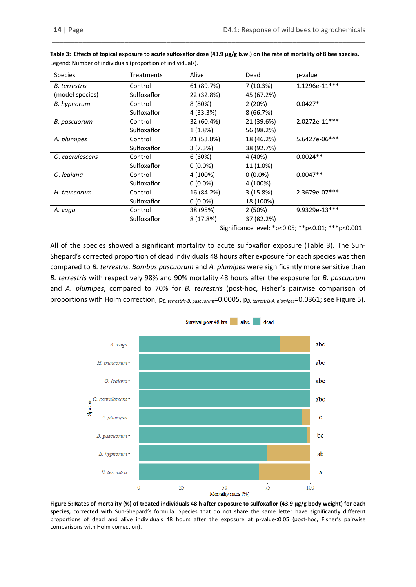| <b>Species</b>  | Treatments  | Alive      | Dead       | p-value                                           |
|-----------------|-------------|------------|------------|---------------------------------------------------|
| B. terrestris   | Control     | 61 (89.7%) | 7(10.3%)   | $1.1296e-11***$                                   |
| (model species) | Sulfoxaflor | 22 (32.8%) | 45 (67.2%) |                                                   |
| B. hypnorum     | Control     | 8 (80%)    | 2(20%)     | $0.0427*$                                         |
|                 | Sulfoxaflor | 4 (33.3%)  | 8(66.7%)   |                                                   |
| B. pascuorum    | Control     | 32 (60.4%) | 21 (39.6%) | 2.0272e-11 ***                                    |
|                 | Sulfoxaflor | 1 (1.8%)   | 56 (98.2%) |                                                   |
| A. plumipes     | Control     | 21 (53.8%) | 18 (46.2%) | 5.6427e-06***                                     |
|                 | Sulfoxaflor | 3(7.3%)    | 38 (92.7%) |                                                   |
| O. caerulescens | Control     | 6(60%)     | 4 (40%)    | $0.0024**$                                        |
|                 | Sulfoxaflor | $0(0.0\%)$ | 11 (1.0%)  |                                                   |
| O. leaiana      | Control     | 4 (100%)   | $0(0.0\%)$ | $0.0047**$                                        |
|                 | Sulfoxaflor | $0(0.0\%)$ | 4 (100%)   |                                                   |
| H. truncorum    | Control     | 16 (84.2%) | 3(15.8%)   | 2.3679e-07***                                     |
|                 | Sulfoxaflor | $0(0.0\%)$ | 18 (100%)  |                                                   |
| A. vaga         | Control     | 38 (95%)   | 2(50%)     | 9.9329e-13***                                     |
|                 | Sulfoxaflor | 8 (17.8%)  | 37 (82.2%) |                                                   |
|                 |             |            |            | Significance level: *p<0.05; **p<0.01; ***p<0.001 |

**Table 3: Effects of topical exposure to acute sulfoxaflor dose (43.9 μg/g b.w.) on the rate of mortality of 8 bee species.**  Legend: Number of individuals (proportion of individuals).

\_\_\_\_\_\_\_\_\_\_\_\_\_\_\_\_\_\_\_\_\_\_\_\_\_\_\_\_\_\_\_\_\_\_\_\_\_\_\_\_\_\_\_\_\_\_\_\_\_\_\_\_\_\_\_\_\_\_\_\_\_\_\_\_\_\_\_\_\_\_\_\_\_\_\_\_\_\_\_\_\_\_

All of the species showed a significant mortality to acute sulfoxaflor exposure (Table 3). The Sun-Shepard's corrected proportion of dead individuals 48 hours after exposure for each species was then compared to *B. terrestris*. *Bombus pascuorum* and *A. plumipes* were significantly more sensitive than *B. terrestris* with respectively 98% and 90% mortality 48 hours after the exposure for *B. pascuorum*  and *A. plumipes*, compared to 70% for *B. terrestris* (post-hoc, Fisher's pairwise comparison of proportions with Holm correction, p*B. terrestris-B. pascuorum*=0.0005, p*B. terrestris-A. plumipes*=0.0361; see Figure 5).



**Figure 5: Rates of mortality (%) of treated individuals 48 h after exposure to sulfoxaflor (43.9 μg/g body weight) for each species,** corrected with Sun-Shepard's formula. Species that do not share the same letter have significantly different proportions of dead and alive individuals 48 hours after the exposure at p-value<0.05 (post-hoc, Fisher's pairwise comparisons with Holm correction).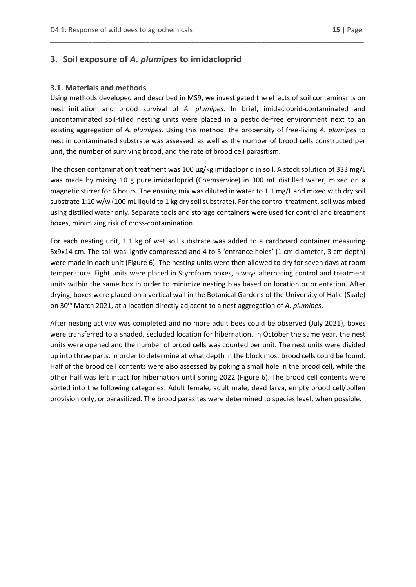## <span id="page-14-0"></span>**3. Soil exposure of** *A. plumipes* **to imidacloprid**

#### <span id="page-14-1"></span>**3.1. Materials and methods**

Using methods developed and described in MS9, we investigated the effects of soil contaminants on nest initiation and brood survival of *A. plumipes.* In brief, imidacloprid-contaminated and uncontaminated soil-filled nesting units were placed in a pesticide-free environment next to an existing aggregation of *A. plumipes*. Using this method, the propensity of free-living *A. plumipes* to nest in contaminated substrate was assessed, as well as the number of brood cells constructed per unit, the number of surviving brood, and the rate of brood cell parasitism.

\_\_\_\_\_\_\_\_\_\_\_\_\_\_\_\_\_\_\_\_\_\_\_\_\_\_\_\_\_\_\_\_\_\_\_\_\_\_\_\_\_\_\_\_\_\_\_\_\_\_\_\_\_\_\_\_\_\_\_\_\_\_\_\_\_\_\_\_\_\_\_\_\_\_\_\_\_\_\_\_\_\_

The chosen contamination treatment was 100 µg/kg imidacloprid in soil. A stock solution of 333 mg/L was made by mixing 10 g pure imidacloprid (Chemservice) in 300 mL distilled water, mixed on a magnetic stirrer for 6 hours. The ensuing mix was diluted in water to 1.1 mg/L and mixed with dry soil substrate 1:10 w/w (100 mL liquid to 1 kg dry soil substrate). For the control treatment, soil was mixed using distilled water only. Separate tools and storage containers were used for control and treatment boxes, minimizing risk of cross-contamination.

For each nesting unit, 1.1 kg of wet soil substrate was added to a cardboard container measuring 5x9x14 cm. The soil was lightly compressed and 4 to 5 'entrance holes' (1 cm diameter, 3 cm depth) were made in each unit (Figure 6). The nesting units were then allowed to dry for seven days at room temperature. Eight units were placed in Styrofoam boxes, always alternating control and treatment units within the same box in order to minimize nesting bias based on location or orientation. After drying, boxes were placed on a vertical wall in the Botanical Gardens of the University of Halle (Saale) on 30th March 2021, at a location directly adjacent to a nest aggregation of *A. plumipes*.

After nesting activity was completed and no more adult bees could be observed (July 2021), boxes were transferred to a shaded, secluded location for hibernation. In October the same year, the nest units were opened and the number of brood cells was counted per unit. The nest units were divided up into three parts, in order to determine at what depth in the block most brood cells could be found. Half of the brood cell contents were also assessed by poking a small hole in the brood cell, while the other half was left intact for hibernation until spring 2022 (Figure 6). The brood cell contents were sorted into the following categories: Adult female, adult male, dead larva, empty brood cell/pollen provision only, or parasitized. The brood parasites were determined to species level, when possible.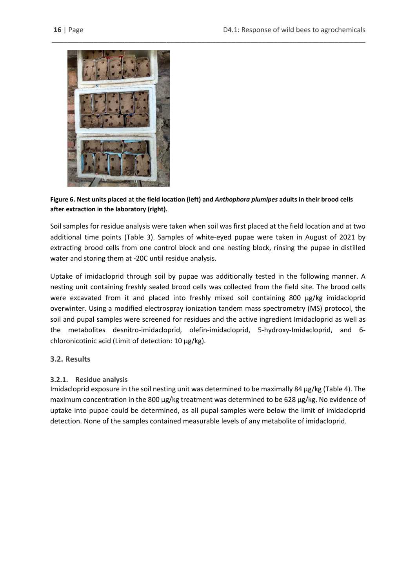

**Figure 6. Nest units placed at the field location (left) and** *Anthophora plumipes* **adults in their brood cells after extraction in the laboratory (right).**

Soil samples for residue analysis were taken when soil was first placed at the field location and at two additional time points (Table 3). Samples of white-eyed pupae were taken in August of 2021 by extracting brood cells from one control block and one nesting block, rinsing the pupae in distilled water and storing them at -20C until residue analysis.

Uptake of imidacloprid through soil by pupae was additionally tested in the following manner. A nesting unit containing freshly sealed brood cells was collected from the field site. The brood cells were excavated from it and placed into freshly mixed soil containing 800 µg/kg imidacloprid overwinter. Using a modified electrospray ionization tandem mass spectrometry (MS) protocol, the soil and pupal samples were screened for residues and the active ingredient Imidacloprid as well as the metabolites desnitro-imidacloprid, olefin-imidacloprid, 5-hydroxy-Imidacloprid, and 6 chloronicotinic acid (Limit of detection: 10 µg/kg).

### <span id="page-15-0"></span>**3.2. Results**

### <span id="page-15-1"></span>**3.2.1. Residue analysis**

Imidacloprid exposure in the soil nesting unit was determined to be maximally 84 µg/kg (Table 4). The maximum concentration in the 800 µg/kg treatment was determined to be 628 µg/kg. No evidence of uptake into pupae could be determined, as all pupal samples were below the limit of imidacloprid detection. None of the samples contained measurable levels of any metabolite of imidacloprid.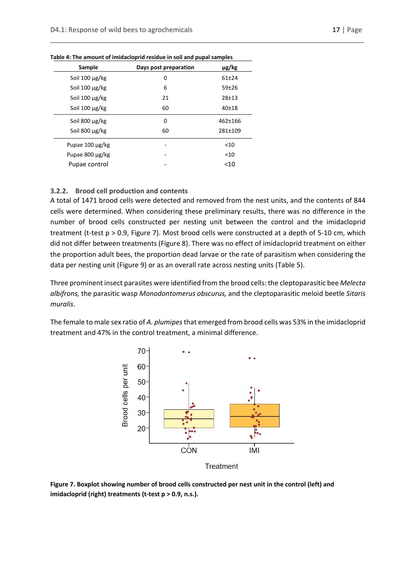| Sample               | Days post preparation | µg/kg     |
|----------------------|-----------------------|-----------|
| Soil $100 \mu g/kg$  | 0                     | $61 + 24$ |
| Soil $100 \mu g/kg$  | 6                     | $59 + 26$ |
| Soil $100 \mu g/kg$  | 21                    | $28 + 13$ |
| Soil $100 \mu g/kg$  | 60                    | $40 + 18$ |
| Soil $800 \mu g/kg$  | 0                     | 462±166   |
| Soil 800 µg/kg       | 60                    | 281±109   |
| Pupae $100 \mu g/kg$ |                       | $<$ 10    |
| Pupae 800 µg/kg      |                       | $<$ 10    |
| Pupae control        |                       | < 10      |

**Table 4: The amount of imidacloprid residue in soil and pupal samples**

#### <span id="page-16-0"></span>**3.2.2. Brood cell production and contents**

A total of 1471 brood cells were detected and removed from the nest units, and the contents of 844 cells were determined. When considering these preliminary results, there was no difference in the number of brood cells constructed per nesting unit between the control and the imidacloprid treatment (t-test p > 0.9, Figure 7). Most brood cells were constructed at a depth of 5-10 cm, which did not differ between treatments (Figure 8). There was no effect of imidacloprid treatment on either the proportion adult bees, the proportion dead larvae or the rate of parasitism when considering the data per nesting unit (Figure 9) or as an overall rate across nesting units (Table 5).

\_\_\_\_\_\_\_\_\_\_\_\_\_\_\_\_\_\_\_\_\_\_\_\_\_\_\_\_\_\_\_\_\_\_\_\_\_\_\_\_\_\_\_\_\_\_\_\_\_\_\_\_\_\_\_\_\_\_\_\_\_\_\_\_\_\_\_\_\_\_\_\_\_\_\_\_\_\_\_\_\_\_

Three prominent insect parasites were identified from the brood cells: the cleptoparasitic bee *Melecta albifrons,* the parasitic wasp *Monodontomerus obscurus,* and the cleptoparasitic meloid beetle *Sitaris muralis*.

The female to male sex ratio of *A. plumipes* that emerged from brood cells was 53% in the imidacloprid treatment and 47% in the control treatment, a minimal difference.



**Figure 7. Boxplot showing number of brood cells constructed per nest unit in the control (left) and imidacloprid (right) treatments (t-test p > 0.9, n.s.).**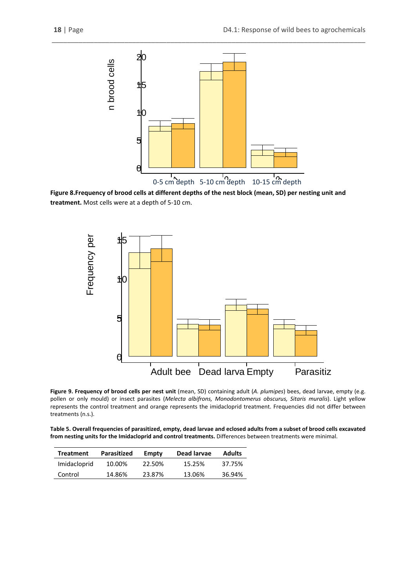

\_\_\_\_\_\_\_\_\_\_\_\_\_\_\_\_\_\_\_\_\_\_\_\_\_\_\_\_\_\_\_\_\_\_\_\_\_\_\_\_\_\_\_\_\_\_\_\_\_\_\_\_\_\_\_\_\_\_\_\_\_\_\_\_\_\_\_\_\_\_\_\_\_\_\_\_\_\_\_\_\_\_

**Figure 8.Frequency of brood cells at different depths of the nest block (mean, SD) per nesting unit and treatment.** Most cells were at a depth of 5-10 cm.



**Figure 9. Frequency of brood cells per nest unit** (mean, SD) containing adult (*A. plumipes*) bees, dead larvae, empty (e.g. pollen or only mould) or insect parasites (*Melecta albifrons, Monodontomerus obscurus, Sitaris muralis*). Light yellow represents the control treatment and orange represents the imidacloprid treatment. Frequencies did not differ between treatments (n.s.).

**Table 5. Overall frequencies of parasitized, empty, dead larvae and eclosed adults from a subset of brood cells excavated from nesting units for the Imidacloprid and control treatments.** Differences between treatments were minimal.

| <b>Treatment</b> | <b>Parasitized</b> | Empty  | Dead larvae | <b>Adults</b> |
|------------------|--------------------|--------|-------------|---------------|
| Imidacloprid     | 10.00%             | 22.50% | 15.25%      | 37.75%        |
| Control          | 14.86%             | 23.87% | 13.06%      | 36.94%        |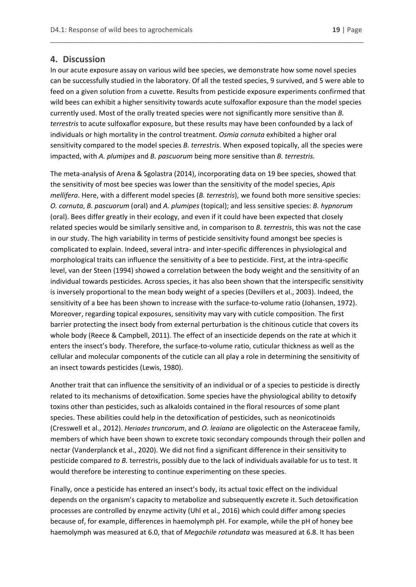### <span id="page-18-0"></span>**4. Discussion**

In our acute exposure assay on various wild bee species, we demonstrate how some novel species can be successfully studied in the laboratory. Of all the tested species, 9 survived, and 5 were able to feed on a given solution from a cuvette. Results from pesticide exposure experiments confirmed that wild bees can exhibit a higher sensitivity towards acute sulfoxaflor exposure than the model species currently used. Most of the orally treated species were not significantly more sensitive than *B. terrestris* to acute sulfoxaflor exposure, but these results may have been confounded by a lack of individuals or high mortality in the control treatment. *Osmia cornuta* exhibited a higher oral sensitivity compared to the model species *B. terrestris*. When exposed topically, all the species were impacted, with *A. plumipes* and *B. pascuorum* being more sensitive than *B. terrestris.*

\_\_\_\_\_\_\_\_\_\_\_\_\_\_\_\_\_\_\_\_\_\_\_\_\_\_\_\_\_\_\_\_\_\_\_\_\_\_\_\_\_\_\_\_\_\_\_\_\_\_\_\_\_\_\_\_\_\_\_\_\_\_\_\_\_\_\_\_\_\_\_\_\_\_\_\_\_\_\_\_\_\_

The meta-analysis of Arena & Sgolastra (2014), incorporating data on 19 bee species, showed that the sensitivity of most bee species was lower than the sensitivity of the model species, *Apis mellifera*. Here, with a different model species (*B. terrestris*), we found both more sensitive species: *O. cornuta*, *B. pascuorum* (oral) and *A. plumipes* (topical); and less sensitive species: *B. hypnorum* (oral). Bees differ greatly in their ecology, and even if it could have been expected that closely related species would be similarly sensitive and, in comparison to *B. terrestris*, this was not the case in our study. The high variability in terms of pesticide sensitivity found amongst bee species is complicated to explain. Indeed, several intra- and inter-specific differences in physiological and morphological traits can influence the sensitivity of a bee to pesticide. First, at the intra-specific level, van der Steen (1994) showed a correlation between the body weight and the sensitivity of an individual towards pesticides. Across species, it has also been shown that the interspecific sensitivity is inversely proportional to the mean body weight of a species (Devillers et al., 2003). Indeed, the sensitivity of a bee has been shown to increase with the surface-to-volume ratio (Johansen, 1972). Moreover, regarding topical exposures, sensitivity may vary with cuticle composition. The first barrier protecting the insect body from external perturbation is the chitinous cuticle that covers its whole body (Reece & Campbell, 2011). The effect of an insecticide depends on the rate at which it enters the insect's body. Therefore, the surface-to-volume ratio, cuticular thickness as well as the cellular and molecular components of the cuticle can all play a role in determining the sensitivity of an insect towards pesticides (Lewis, 1980).

Another trait that can influence the sensitivity of an individual or of a species to pesticide is directly related to its mechanisms of detoxification. Some species have the physiological ability to detoxify toxins other than pesticides, such as alkaloids contained in the floral resources of some plant species. These abilities could help in the detoxification of pesticides, such as neonicotinoids (Cresswell et al., 2012). *Heriades truncorum*, and *O. leaiana* are oligolectic on the Asteraceae family, members of which have been shown to excrete toxic secondary compounds through their pollen and nectar (Vanderplanck et al., 2020). We did not find a significant difference in their sensitivity to pesticide compared *to B.* terrestris, possibly due to the lack of individuals available for us to test. It would therefore be interesting to continue experimenting on these species.

Finally, once a pesticide has entered an insect's body, its actual toxic effect on the individual depends on the organism's capacity to metabolize and subsequently excrete it. Such detoxification processes are controlled by enzyme activity (Uhl et al., 2016) which could differ among species because of, for example, differences in haemolymph pH. For example, while the pH of honey bee haemolymph was measured at 6.0, that of *Megachile rotundata* was measured at 6.8. It has been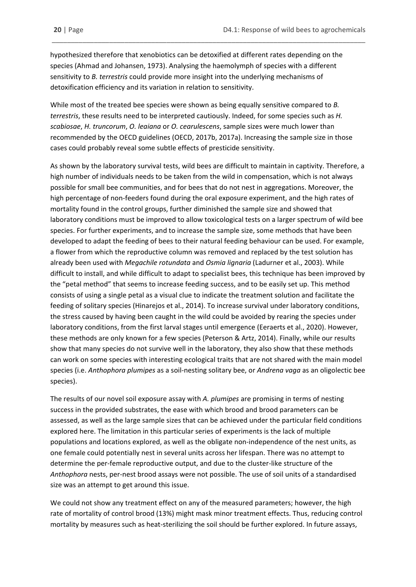hypothesized therefore that xenobiotics can be detoxified at different rates depending on the species (Ahmad and Johansen, 1973). Analysing the haemolymph of species with a different sensitivity to *B. terrestris* could provide more insight into the underlying mechanisms of detoxification efficiency and its variation in relation to sensitivity.

\_\_\_\_\_\_\_\_\_\_\_\_\_\_\_\_\_\_\_\_\_\_\_\_\_\_\_\_\_\_\_\_\_\_\_\_\_\_\_\_\_\_\_\_\_\_\_\_\_\_\_\_\_\_\_\_\_\_\_\_\_\_\_\_\_\_\_\_\_\_\_\_\_\_\_\_\_\_\_\_\_\_

While most of the treated bee species were shown as being equally sensitive compared to *B. terrestris*, these results need to be interpreted cautiously. Indeed, for some species such as *H. scabiosae*, *H. truncorum*, *O. leaiana* or *O. cearulescens*, sample sizes were much lower than recommended by the OECD guidelines (OECD, 2017b, 2017a). Increasing the sample size in those cases could probably reveal some subtle effects of presticide sensitivity.

As shown by the laboratory survival tests, wild bees are difficult to maintain in captivity. Therefore, a high number of individuals needs to be taken from the wild in compensation, which is not always possible for small bee communities, and for bees that do not nest in aggregations. Moreover, the high percentage of non-feeders found during the oral exposure experiment, and the high rates of mortality found in the control groups, further diminished the sample size and showed that laboratory conditions must be improved to allow toxicological tests on a larger spectrum of wild bee species. For further experiments, and to increase the sample size, some methods that have been developed to adapt the feeding of bees to their natural feeding behaviour can be used. For example, a flower from which the reproductive column was removed and replaced by the test solution has already been used with *Megachile rotundata* and *Osmia lignaria* (Ladurner et al., 2003). While difficult to install, and while difficult to adapt to specialist bees, this technique has been improved by the "petal method" that seems to increase feeding success, and to be easily set up. This method consists of using a single petal as a visual clue to indicate the treatment solution and facilitate the feeding of solitary species (Hinarejos et al., 2014). To increase survival under laboratory conditions, the stress caused by having been caught in the wild could be avoided by rearing the species under laboratory conditions, from the first larval stages until emergence (Eeraerts et al., 2020). However, these methods are only known for a few species (Peterson & Artz, 2014). Finally, while our results show that many species do not survive well in the laboratory, they also show that these methods can work on some species with interesting ecological traits that are not shared with the main model species (i.e. *Anthophora plumipes* as a soil-nesting solitary bee, or *Andrena vaga* as an oligolectic bee species).

The results of our novel soil exposure assay with *A. plumipes* are promising in terms of nesting success in the provided substrates, the ease with which brood and brood parameters can be assessed, as well as the large sample sizes that can be achieved under the particular field conditions explored here. The limitation in this particular series of experiments is the lack of multiple populations and locations explored, as well as the obligate non-independence of the nest units, as one female could potentially nest in several units across her lifespan. There was no attempt to determine the per-female reproductive output, and due to the cluster-like structure of the *Anthophora* nests, per-nest brood assays were not possible. The use of soil units of a standardised size was an attempt to get around this issue.

We could not show any treatment effect on any of the measured parameters; however, the high rate of mortality of control brood (13%) might mask minor treatment effects. Thus, reducing control mortality by measures such as heat-sterilizing the soil should be further explored. In future assays,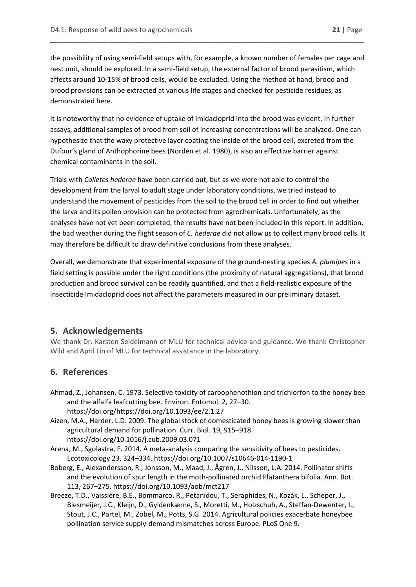the possibility of using semi-field setups with, for example, a known number of females per cage and nest unit, should be explored. In a semi-field setup, the external factor of brood parasitism, which affects around 10-15% of brood cells, would be excluded. Using the method at hand, brood and brood provisions can be extracted at various life stages and checked for pesticide residues, as demonstrated here.

\_\_\_\_\_\_\_\_\_\_\_\_\_\_\_\_\_\_\_\_\_\_\_\_\_\_\_\_\_\_\_\_\_\_\_\_\_\_\_\_\_\_\_\_\_\_\_\_\_\_\_\_\_\_\_\_\_\_\_\_\_\_\_\_\_\_\_\_\_\_\_\_\_\_\_\_\_\_\_\_\_\_

It is noteworthy that no evidence of uptake of imidacloprid into the brood was evident. In further assays, additional samples of brood from soil of increasing concentrations will be analyzed. One can hypothesize that the waxy protective layer coating the inside of the brood cell, excreted from the Dufour's gland of Anthophorine bees (Norden et al. 1980), is also an effective barrier against chemical contaminants in the soil.

Trials with *Colletes hederae* have been carried out, but as we were not able to control the development from the larval to adult stage under laboratory conditions, we tried instead to understand the movement of pesticides from the soil to the brood cell in order to find out whether the larva and its pollen provision can be protected from agrochemicals. Unfortunately, as the analyses have not yet been completed, the results have not been included in this report. In addition, the bad weather during the flight season of *C. hederae* did not allow us to collect many brood cells. It may therefore be difficult to draw definitive conclusions from these analyses.

Overall, we demonstrate that experimental exposure of the ground-nesting species *A. plumipes* in a field setting is possible under the right conditions (the proximity of natural aggregations), that brood production and brood survival can be readily quantified, and that a field-realistic exposure of the insecticide Imidacloprid does not affect the parameters measured in our preliminary dataset.

## <span id="page-20-0"></span>**5. Acknowledgements**

We thank Dr. Karsten Seidelmann of MLU for technical advice and guidance. We thank Christopher Wild and April Lin of MLU for technical assistance in the laboratory.

# <span id="page-20-1"></span>**6. References**

- Ahmad, Z., Johansen, C. 1973. Selective toxicity of carbophenothion and trichlorfon to the honey bee and the alfalfa leafcutting bee. Environ. Entomol. 2, 27–30. https://doi.org/https://doi.org/10.1093/ee/2.1.27
- Aizen, M.A., Harder, L.D. 2009. The global stock of domesticated honey bees is growing slower than agricultural demand for pollination. Curr. Biol. 19, 915–918. https://doi.org/10.1016/j.cub.2009.03.071
- Arena, M., Sgolastra, F. 2014. A meta-analysis comparing the sensitivity of bees to pesticides. Ecotoxicology 23, 324–334. https://doi.org/10.1007/s10646-014-1190-1
- Boberg, E., Alexandersson, R., Jonsson, M., Maad, J., Ågren, J., Nilsson, L.A. 2014. Pollinator shifts and the evolution of spur length in the moth-pollinated orchid Platanthera bifolia. Ann. Bot. 113, 267–275. https://doi.org/10.1093/aob/mct217
- Breeze, T.D., Vaissière, B.E., Bommarco, R., Petanidou, T., Seraphides, N., Kozák, L., Scheper, J., Biesmeijer, J.C., Kleijn, D., Gyldenkærne, S., Moretti, M., Holzschuh, A., Steffan-Dewenter, I., Stout, J.C., Pärtel, M., Zobel, M., Potts, S.G. 2014. Agricultural policies exacerbate honeybee pollination service supply-demand mismatches across Europe. PLoS One 9.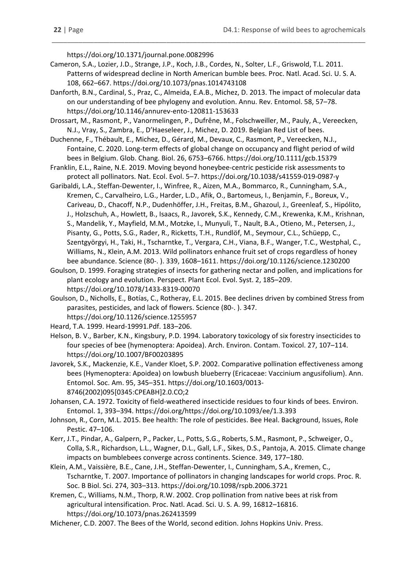https://doi.org/10.1371/journal.pone.0082996

Cameron, S.A., Lozier, J.D., Strange, J.P., Koch, J.B., Cordes, N., Solter, L.F., Griswold, T.L. 2011. Patterns of widespread decline in North American bumble bees. Proc. Natl. Acad. Sci. U. S. A. 108, 662–667. https://doi.org/10.1073/pnas.1014743108

\_\_\_\_\_\_\_\_\_\_\_\_\_\_\_\_\_\_\_\_\_\_\_\_\_\_\_\_\_\_\_\_\_\_\_\_\_\_\_\_\_\_\_\_\_\_\_\_\_\_\_\_\_\_\_\_\_\_\_\_\_\_\_\_\_\_\_\_\_\_\_\_\_\_\_\_\_\_\_\_\_\_

- Danforth, B.N., Cardinal, S., Praz, C., Almeida, E.A.B., Michez, D. 2013. The impact of molecular data on our understanding of bee phylogeny and evolution. Annu. Rev. Entomol. 58, 57–78. https://doi.org/10.1146/annurev-ento-120811-153633
- Drossart, M., Rasmont, P., Vanormelingen, P., Dufrêne, M., Folschweiller, M., Pauly, A., Vereecken, N.J., Vray, S., Zambra, E., D'Haeseleer, J., Michez, D. 2019. Belgian Red List of bees.
- Duchenne, F., Thébault, E., Michez, D., Gérard, M., Devaux, C., Rasmont, P., Vereecken, N.J., Fontaine, C. 2020. Long-term effects of global change on occupancy and flight period of wild bees in Belgium. Glob. Chang. Biol. 26, 6753–6766. https://doi.org/10.1111/gcb.15379
- Franklin, E.L., Raine, N.E. 2019. Moving beyond honeybee-centric pesticide risk assessments to protect all pollinators. Nat. Ecol. Evol. 5–7. https://doi.org/10.1038/s41559-019-0987-y
- Garibaldi, L.A., Steffan-Dewenter, I., Winfree, R., Aizen, M.A., Bommarco, R., Cunningham, S.A., Kremen, C., Carvalheiro, L.G., Harder, L.D., Afik, O., Bartomeus, I., Benjamin, F., Boreux, V., Cariveau, D., Chacoff, N.P., Dudenhöffer, J.H., Freitas, B.M., Ghazoul, J., Greenleaf, S., Hipólito, J., Holzschuh, A., Howlett, B., Isaacs, R., Javorek, S.K., Kennedy, C.M., Krewenka, K.M., Krishnan, S., Mandelik, Y., Mayfield, M.M., Motzke, I., Munyuli, T., Nault, B.A., Otieno, M., Petersen, J., Pisanty, G., Potts, S.G., Rader, R., Ricketts, T.H., Rundlöf, M., Seymour, C.L., Schüepp, C., Szentgyörgyi, H., Taki, H., Tscharntke, T., Vergara, C.H., Viana, B.F., Wanger, T.C., Westphal, C., Williams, N., Klein, A.M. 2013. Wild pollinators enhance fruit set of crops regardless of honey bee abundance. Science (80-. ). 339, 1608–1611. https://doi.org/10.1126/science.1230200
- Goulson, D. 1999. Foraging strategies of insects for gathering nectar and pollen, and implications for plant ecology and evolution. Perspect. Plant Ecol. Evol. Syst. 2, 185–209. https://doi.org/10.1078/1433-8319-00070
- Goulson, D., Nicholls, E., Botías, C., Rotheray, E.L. 2015. Bee declines driven by combined Stress from parasites, pesticides, and lack of flowers. Science (80-. ). 347. https://doi.org/10.1126/science.1255957
- Heard, T.A. 1999. Heard-19991.Pdf. 183–206.
- Helson, B. V., Barber, K.N., Kingsbury, P.D. 1994. Laboratory toxicology of six forestry insecticides to four species of bee (hymenoptera: Apoidea). Arch. Environ. Contam. Toxicol. 27, 107–114. https://doi.org/10.1007/BF00203895
- Javorek, S.K., Mackenzie, K.E., Vander Kloet, S.P. 2002. Comparative pollination effectiveness among bees (Hymenoptera: Apoidea) on lowbush blueberry (Ericaceae: Vaccinium angusifolium). Ann. Entomol. Soc. Am. 95, 345–351. https://doi.org/10.1603/0013- 8746(2002)095[0345:CPEABH]2.0.CO;2
- Johansen, C.A. 1972. Toxicity of field-weathered insecticide residues to four kinds of bees. Environ. Entomol. 1, 393–394. https://doi.org/https://doi.org/10.1093/ee/1.3.393
- Johnson, R., Corn, M.L. 2015. Bee health: The role of pesticides. Bee Heal. Background, Issues, Role Pestic. 47–106.
- Kerr, J.T., Pindar, A., Galpern, P., Packer, L., Potts, S.G., Roberts, S.M., Rasmont, P., Schweiger, O., Colla, S.R., Richardson, L.L., Wagner, D.L., Gall, L.F., Sikes, D.S., Pantoja, A. 2015. Climate change impacts on bumblebees converge across continents. Science. 349, 177–180.
- Klein, A.M., Vaissière, B.E., Cane, J.H., Steffan-Dewenter, I., Cunningham, S.A., Kremen, C., Tscharntke, T. 2007. Importance of pollinators in changing landscapes for world crops. Proc. R. Soc. B Biol. Sci. 274, 303–313. https://doi.org/10.1098/rspb.2006.3721
- Kremen, C., Williams, N.M., Thorp, R.W. 2002. Crop pollination from native bees at risk from agricultural intensification. Proc. Natl. Acad. Sci. U. S. A. 99, 16812–16816. https://doi.org/10.1073/pnas.262413599
- Michener, C.D. 2007. The Bees of the World, second edition. Johns Hopkins Univ. Press.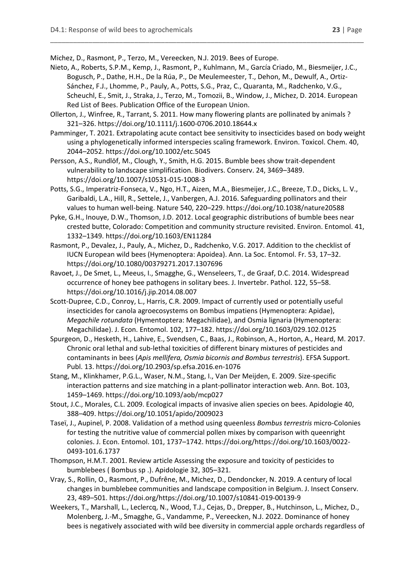Michez, D., Rasmont, P., Terzo, M., Vereecken, N.J. 2019. Bees of Europe.

Nieto, A., Roberts, S.P.M., Kemp, J., Rasmont, P., Kuhlmann, M., García Criado, M., Biesmeijer, J.C., Bogusch, P., Dathe, H.H., De la Rúa, P., De Meulemeester, T., Dehon, M., Dewulf, A., Ortiz-Sánchez, F.J., Lhomme, P., Pauly, A., Potts, S.G., Praz, C., Quaranta, M., Radchenko, V.G., Scheuchl, E., Smit, J., Straka, J., Terzo, M., Tomozii, B., Window, J., Michez, D. 2014. European Red List of Bees. Publication Office of the European Union.

\_\_\_\_\_\_\_\_\_\_\_\_\_\_\_\_\_\_\_\_\_\_\_\_\_\_\_\_\_\_\_\_\_\_\_\_\_\_\_\_\_\_\_\_\_\_\_\_\_\_\_\_\_\_\_\_\_\_\_\_\_\_\_\_\_\_\_\_\_\_\_\_\_\_\_\_\_\_\_\_\_\_

- Ollerton, J., Winfree, R., Tarrant, S. 2011. How many flowering plants are pollinated by animals ? 321–326. https://doi.org/10.1111/j.1600-0706.2010.18644.x
- Pamminger, T. 2021. Extrapolating acute contact bee sensitivity to insecticides based on body weight using a phylogenetically informed interspecies scaling framework. Environ. Toxicol. Chem. 40, 2044–2052. https://doi.org/10.1002/etc.5045

Persson, A.S., Rundlöf, M., Clough, Y., Smith, H.G. 2015. Bumble bees show trait-dependent vulnerability to landscape simplification. Biodivers. Conserv. 24, 3469–3489. https://doi.org/10.1007/s10531-015-1008-3

Potts, S.G., Imperatriz-Fonseca, V., Ngo, H.T., Aizen, M.A., Biesmeijer, J.C., Breeze, T.D., Dicks, L. V., Garibaldi, L.A., Hill, R., Settele, J., Vanbergen, A.J. 2016. Safeguarding pollinators and their values to human well-being. Nature 540, 220–229. https://doi.org/10.1038/nature20588

Pyke, G.H., Inouye, D.W., Thomson, J.D. 2012. Local geographic distributions of bumble bees near crested butte, Colorado: Competition and community structure revisited. Environ. Entomol. 41, 1332–1349. https://doi.org/10.1603/EN11284

Rasmont, P., Devalez, J., Pauly, A., Michez, D., Radchenko, V.G. 2017. Addition to the checklist of IUCN European wild bees (Hymenoptera: Apoidea). Ann. La Soc. Entomol. Fr. 53, 17–32. https://doi.org/10.1080/00379271.2017.1307696

- Ravoet, J., De Smet, L., Meeus, I., Smagghe, G., Wenseleers, T., de Graaf, D.C. 2014. Widespread occurrence of honey bee pathogens in solitary bees. J. Invertebr. Pathol. 122, 55–58. https://doi.org/10.1016/j.jip.2014.08.007
- Scott-Dupree, C.D., Conroy, L., Harris, C.R. 2009. Impact of currently used or potentially useful insecticides for canola agroecosystems on Bombus impatiens (Hymenoptera: Apidae), *Megachile rotundata* (Hymentoptera: Megachilidae), and Osmia lignaria (Hymenoptera: Megachilidae). J. Econ. Entomol. 102, 177–182. https://doi.org/10.1603/029.102.0125
- Spurgeon, D., Hesketh, H., Lahive, E., Svendsen, C., Baas, J., Robinson, A., Horton, A., Heard, M. 2017. Chronic oral lethal and sub-lethal toxicities of different binary mixtures of pesticides and contaminants in bees (*Apis mellifera, Osmia bicornis and Bombus terrestris*). EFSA Support. Publ. 13. https://doi.org/10.2903/sp.efsa.2016.en-1076
- Stang, M., Klinkhamer, P.G.L., Waser, N.M., Stang, I., Van Der Meijden, E. 2009. Size-specific interaction patterns and size matching in a plant-pollinator interaction web. Ann. Bot. 103, 1459–1469. https://doi.org/10.1093/aob/mcp027
- Stout, J.C., Morales, C.L. 2009. Ecological impacts of invasive alien species on bees. Apidologie 40, 388–409. https://doi.org/10.1051/apido/2009023
- Taseï, J., Aupinel, P. 2008. Validation of a method using queenless *Bombus terrestris* micro-Colonies for testing the nutritive value of commercial pollen mixes by comparison with queenright colonies. J. Econ. Entomol. 101, 1737–1742. https://doi.org/https://doi.org/10.1603/0022- 0493-101.6.1737
- Thompson, H.M.T. 2001. Review article Assessing the exposure and toxicity of pesticides to bumblebees ( Bombus sp .). Apidologie 32, 305–321.
- Vray, S., Rollin, O., Rasmont, P., Dufrêne, M., Michez, D., Dendoncker, N. 2019. A century of local changes in bumblebee communities and landscape composition in Belgium. J. Insect Conserv. 23, 489–501. https://doi.org/https://doi.org/10.1007/s10841-019-00139-9
- Weekers, T., Marshall, L., Leclercq, N., Wood, T.J., Cejas, D., Drepper, B., Hutchinson, L., Michez, D., Molenberg, J.-M., Smagghe, G., Vandamme, P., Vereecken, N.J. 2022. Dominance of honey bees is negatively associated with wild bee diversity in commercial apple orchards regardless of